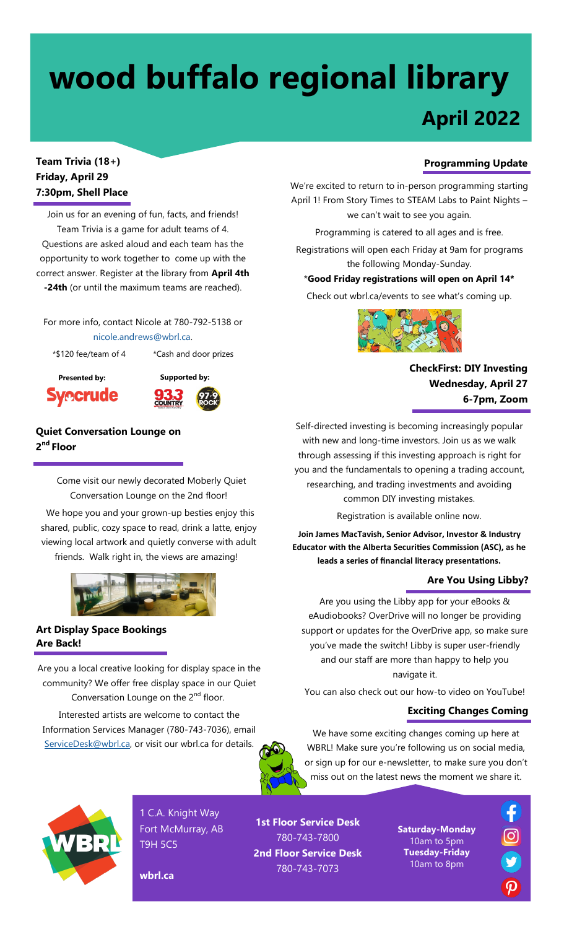# **April 2022 wood buffalo regional library**

## **Team Trivia (18+) Friday, April 29 7:30pm, Shell Place**

Join us for an evening of fun, facts, and friends! Team Trivia is a game for adult teams of 4. Questions are asked aloud and each team has the opportunity to work together to come up with the correct answer. Register at the library from **April 4th -24th** (or until the maximum teams are reached).

For more info, contact Nicole at 780-792-5138 or nicole.andrews@wbrl.ca.

\*\$120 fee/team of 4 \*Cash and door prizes





**Quiet Conversation Lounge on 2 nd Floor**

> Come visit our newly decorated Moberly Quiet Conversation Lounge on the 2nd floor!

We hope you and your grown-up besties enjoy this shared, public, cozy space to read, drink a latte, enjoy viewing local artwork and quietly converse with adult friends. Walk right in, the views are amazing!



### **Art Display Space Bookings Are Back!**

Are you a local creative looking for display space in the community? We offer free display space in our Quiet Conversation Lounge on the  $2<sup>nd</sup>$  floor.

Interested artists are welcome to contact the Information Services Manager (780-743-7036), email [ServiceDesk@wbrl.ca,](mailto:ServiceDesk@wbrl.ca) or visit our wbrl.ca for details.



We're excited to return to in-person programming starting April 1! From Story Times to STEAM Labs to Paint Nights – we can't wait to see you again.

Programming is catered to all ages and is free.

Registrations will open each Friday at 9am for programs the following Monday-Sunday.

\***Good Friday registrations will open on April 14\***

Check out wbrl.ca/events to see what's coming up.



**CheckFirst: DIY Investing Wednesday, April 27 6-7pm, Zoom**

Self-directed investing is becoming increasingly popular with new and long-time investors. Join us as we walk through assessing if this investing approach is right for you and the fundamentals to opening a trading account, researching, and trading investments and avoiding common DIY investing mistakes.

Registration is available online now.

**Join James MacTavish, Senior Advisor, Investor & Industry Educator with the Alberta Securities Commission (ASC), as he leads a series of financial literacy presentations.** 

#### **Are You Using Libby?**

Are you using the Libby app for your eBooks & eAudiobooks? OverDrive will no longer be providing support or updates for the OverDrive app, so make sure you've made the switch! Libby is super user-friendly and our staff are more than happy to help you navigate it.

You can also check out our how-to video on YouTube!

### **Exciting Changes Coming**

We have some exciting changes coming up here at WBRL! Make sure you're following us on social media, or sign up for our e-newsletter, to make sure you don't miss out on the latest news the moment we share it.



1 C.A. Knight Way Fort McMurray, AB T9H 5C5

**wbrl.ca**

**1st Floor Service Desk** 780-743-7800 **2nd Floor Service Desk** 780-743-7073

**Saturday-Monday** 10am to 5pm **Tuesday-Friday** 10am to 8pm